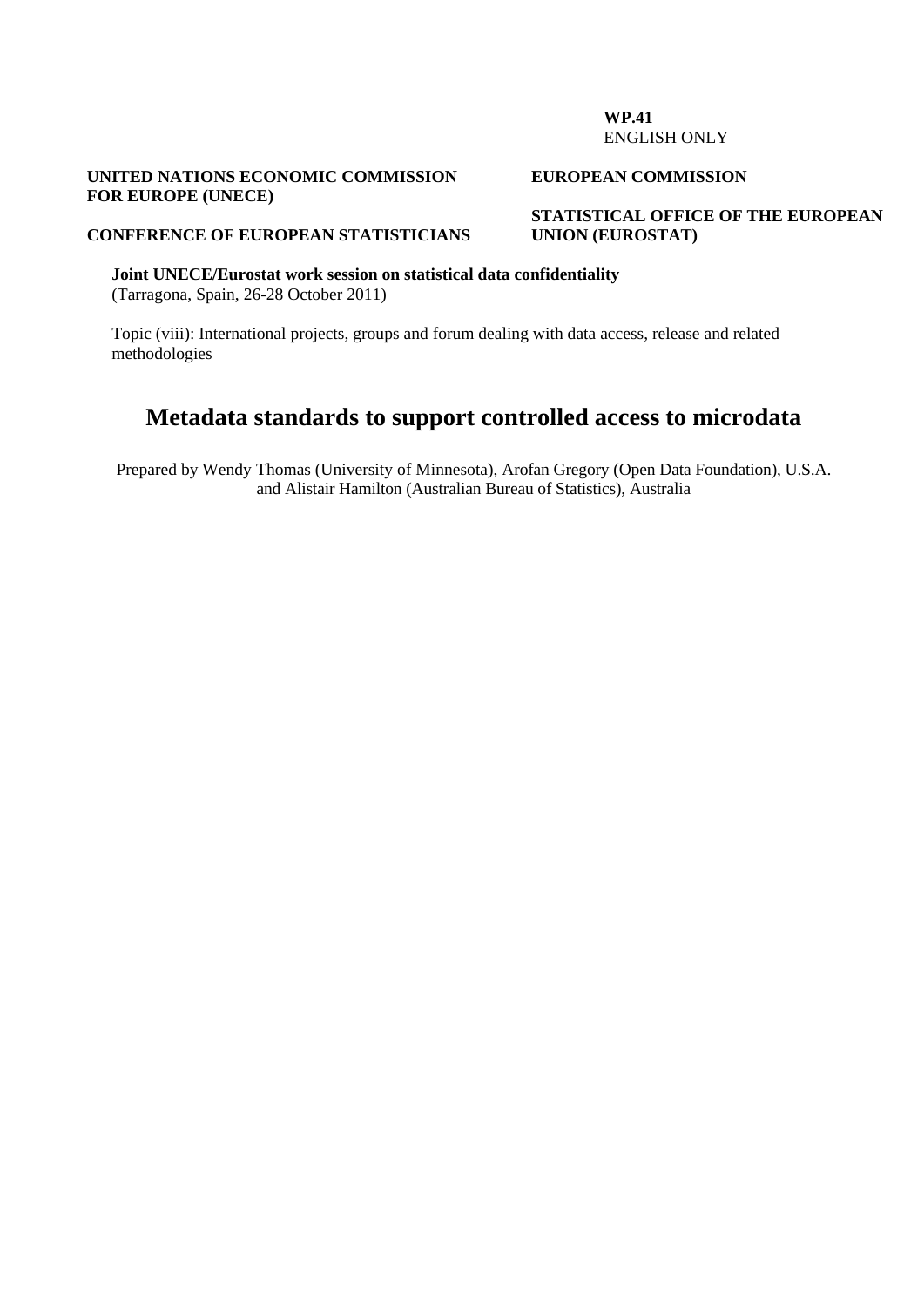#### **WP.41**  ENGLISH ONLY

#### **UNITED NATIONS ECONOMIC COMMISSION FOR EUROPE (UNECE)**

#### **EUROPEAN COMMISSION**

**STATISTICAL OFFICE OF THE EUROPEAN UNION (EUROSTAT)** 

#### **CONFERENCE OF EUROPEAN STATISTICIANS**

**Joint UNECE/Eurostat work session on statistical data confidentiality**  (Tarragona, Spain, 26-28 October 2011)

Topic (viii): International projects, groups and forum dealing with data access, release and related methodologies

# **Metadata standards to support controlled access to microdata**

Prepared by Wendy Thomas (University of Minnesota), Arofan Gregory (Open Data Foundation), U.S.A. and Alistair Hamilton (Australian Bureau of Statistics), Australia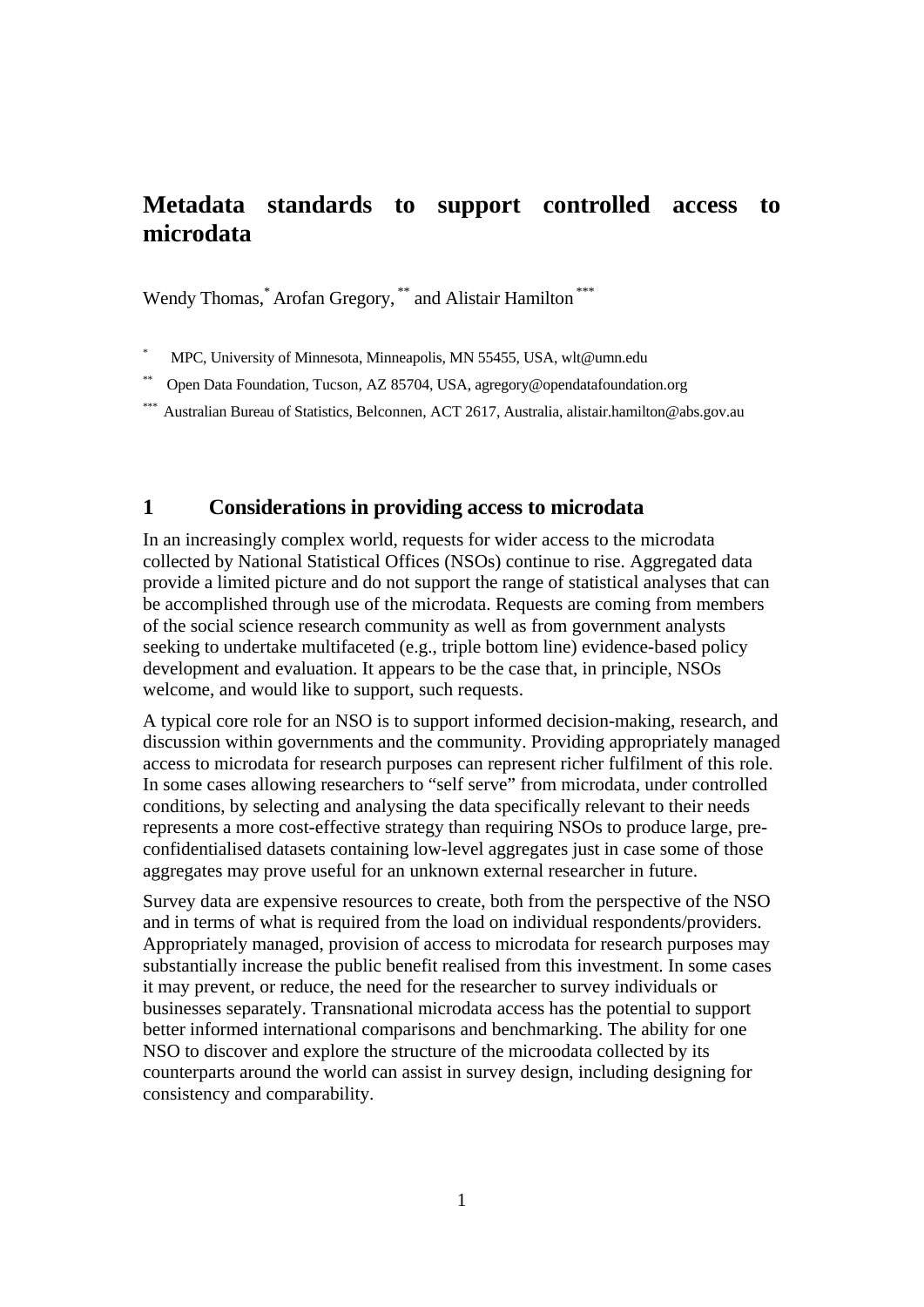# **Metadata standards to support controlled access to microdata**

Wendy Thomas,<sup>\*</sup> Arofan Gregory,<sup>\*\*</sup> and Alistair Hamilton<sup>\*\*\*</sup>

\* MPC, University of Minnesota, Minneapolis, MN 55455, USA, wlt@umn.edu

\*\* Open Data Foundation, Tucson, AZ 85704, USA, agregory@opendatafoundation.org

Australian Bureau of Statistics, Belconnen, ACT 2617, Australia, alistair.hamilton@abs.gov.au

## **1 Considerations in providing access to microdata**

In an increasingly complex world, requests for wider access to the microdata collected by National Statistical Offices (NSOs) continue to rise. Aggregated data provide a limited picture and do not support the range of statistical analyses that can be accomplished through use of the microdata. Requests are coming from members of the social science research community as well as from government analysts seeking to undertake multifaceted (e.g., triple bottom line) evidence-based policy development and evaluation. It appears to be the case that, in principle, NSOs welcome, and would like to support, such requests.

A typical core role for an NSO is to support informed decision-making, research, and discussion within governments and the community. Providing appropriately managed access to microdata for research purposes can represent richer fulfilment of this role. In some cases allowing researchers to "self serve" from microdata, under controlled conditions, by selecting and analysing the data specifically relevant to their needs represents a more cost-effective strategy than requiring NSOs to produce large, preconfidentialised datasets containing low-level aggregates just in case some of those aggregates may prove useful for an unknown external researcher in future.

Survey data are expensive resources to create, both from the perspective of the NSO and in terms of what is required from the load on individual respondents/providers. Appropriately managed, provision of access to microdata for research purposes may substantially increase the public benefit realised from this investment. In some cases it may prevent, or reduce, the need for the researcher to survey individuals or businesses separately. Transnational microdata access has the potential to support better informed international comparisons and benchmarking. The ability for one NSO to discover and explore the structure of the microodata collected by its counterparts around the world can assist in survey design, including designing for consistency and comparability.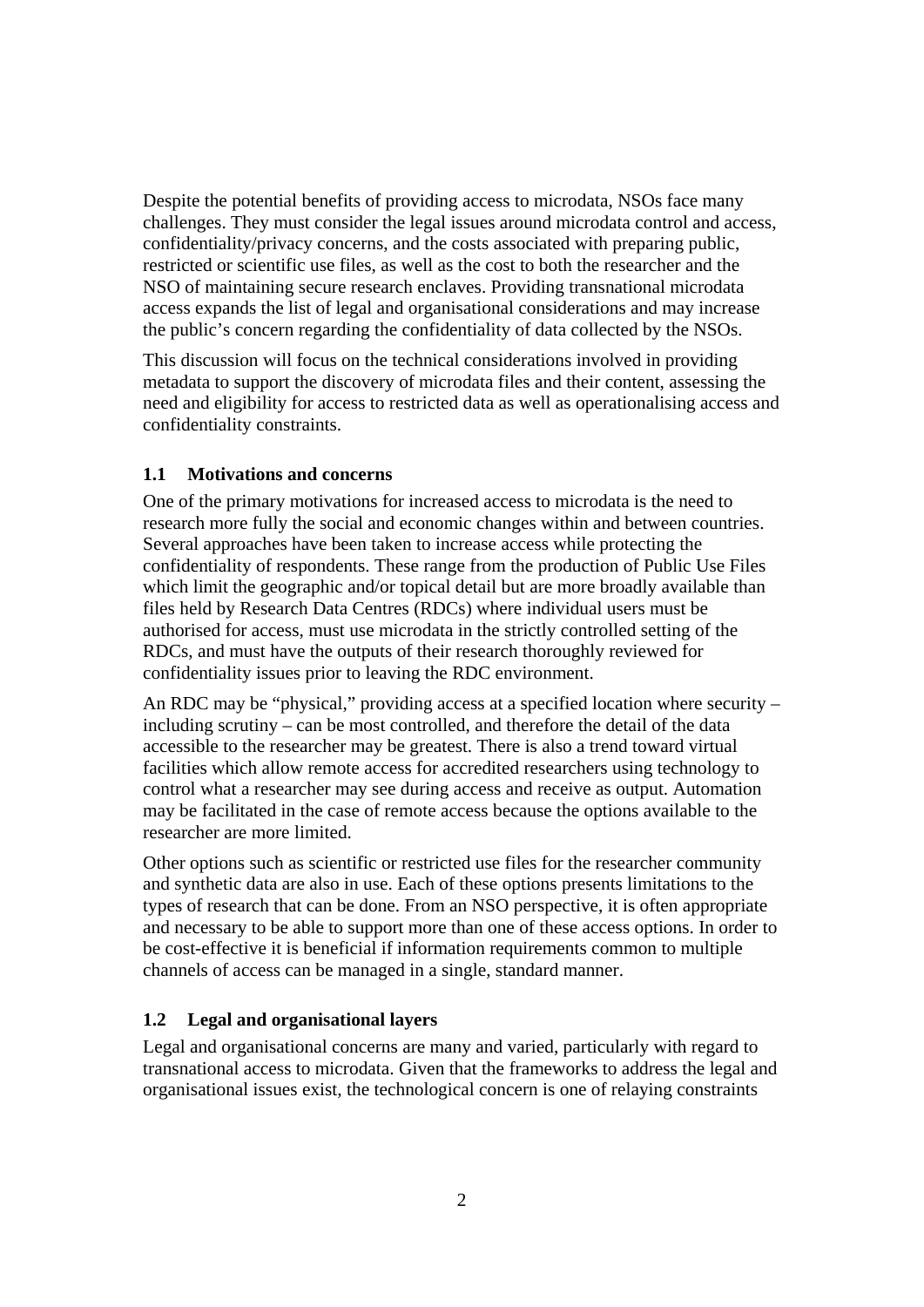Despite the potential benefits of providing access to microdata, NSOs face many challenges. They must consider the legal issues around microdata control and access, confidentiality/privacy concerns, and the costs associated with preparing public, restricted or scientific use files, as well as the cost to both the researcher and the NSO of maintaining secure research enclaves. Providing transnational microdata access expands the list of legal and organisational considerations and may increase the public's concern regarding the confidentiality of data collected by the NSOs.

This discussion will focus on the technical considerations involved in providing metadata to support the discovery of microdata files and their content, assessing the need and eligibility for access to restricted data as well as operationalising access and confidentiality constraints.

#### **1.1 Motivations and concerns**

One of the primary motivations for increased access to microdata is the need to research more fully the social and economic changes within and between countries. Several approaches have been taken to increase access while protecting the confidentiality of respondents. These range from the production of Public Use Files which limit the geographic and/or topical detail but are more broadly available than files held by Research Data Centres (RDCs) where individual users must be authorised for access, must use microdata in the strictly controlled setting of the RDCs, and must have the outputs of their research thoroughly reviewed for confidentiality issues prior to leaving the RDC environment.

An RDC may be "physical," providing access at a specified location where security – including scrutiny – can be most controlled, and therefore the detail of the data accessible to the researcher may be greatest. There is also a trend toward virtual facilities which allow remote access for accredited researchers using technology to control what a researcher may see during access and receive as output. Automation may be facilitated in the case of remote access because the options available to the researcher are more limited.

Other options such as scientific or restricted use files for the researcher community and synthetic data are also in use. Each of these options presents limitations to the types of research that can be done. From an NSO perspective, it is often appropriate and necessary to be able to support more than one of these access options. In order to be cost-effective it is beneficial if information requirements common to multiple channels of access can be managed in a single, standard manner.

#### **1.2 Legal and organisational layers**

Legal and organisational concerns are many and varied, particularly with regard to transnational access to microdata. Given that the frameworks to address the legal and organisational issues exist, the technological concern is one of relaying constraints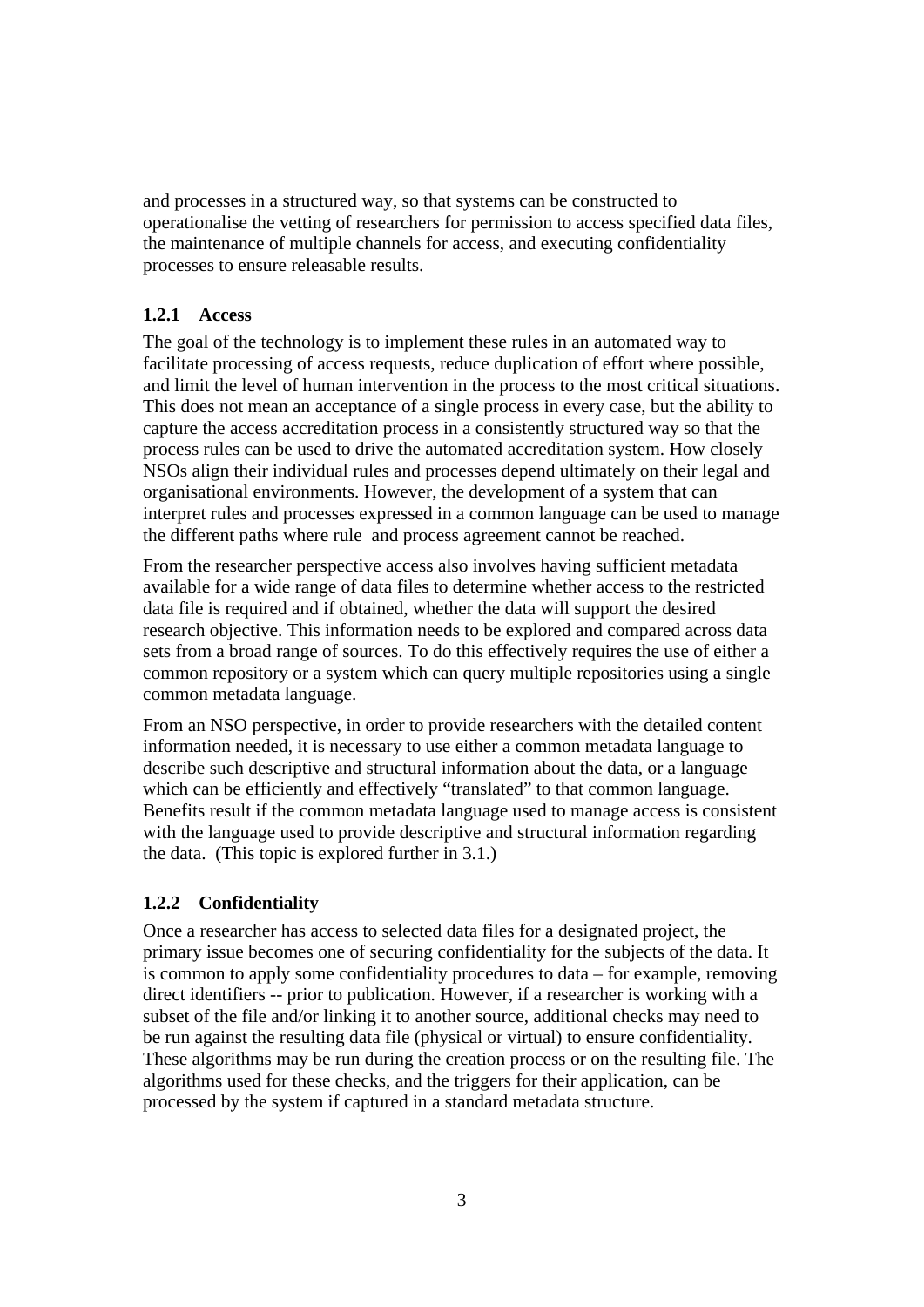and processes in a structured way, so that systems can be constructed to operationalise the vetting of researchers for permission to access specified data files, the maintenance of multiple channels for access, and executing confidentiality processes to ensure releasable results.

#### **1.2.1 Access**

The goal of the technology is to implement these rules in an automated way to facilitate processing of access requests, reduce duplication of effort where possible, and limit the level of human intervention in the process to the most critical situations. This does not mean an acceptance of a single process in every case, but the ability to capture the access accreditation process in a consistently structured way so that the process rules can be used to drive the automated accreditation system. How closely NSOs align their individual rules and processes depend ultimately on their legal and organisational environments. However, the development of a system that can interpret rules and processes expressed in a common language can be used to manage the different paths where rule and process agreement cannot be reached.

From the researcher perspective access also involves having sufficient metadata available for a wide range of data files to determine whether access to the restricted data file is required and if obtained, whether the data will support the desired research objective. This information needs to be explored and compared across data sets from a broad range of sources. To do this effectively requires the use of either a common repository or a system which can query multiple repositories using a single common metadata language.

From an NSO perspective, in order to provide researchers with the detailed content information needed, it is necessary to use either a common metadata language to describe such descriptive and structural information about the data, or a language which can be efficiently and effectively "translated" to that common language. Benefits result if the common metadata language used to manage access is consistent with the language used to provide descriptive and structural information regarding the data. (This topic is explored further in 3.1.)

#### **1.2.2 Confidentiality**

Once a researcher has access to selected data files for a designated project, the primary issue becomes one of securing confidentiality for the subjects of the data. It is common to apply some confidentiality procedures to data – for example, removing direct identifiers -- prior to publication. However, if a researcher is working with a subset of the file and/or linking it to another source, additional checks may need to be run against the resulting data file (physical or virtual) to ensure confidentiality. These algorithms may be run during the creation process or on the resulting file. The algorithms used for these checks, and the triggers for their application, can be processed by the system if captured in a standard metadata structure.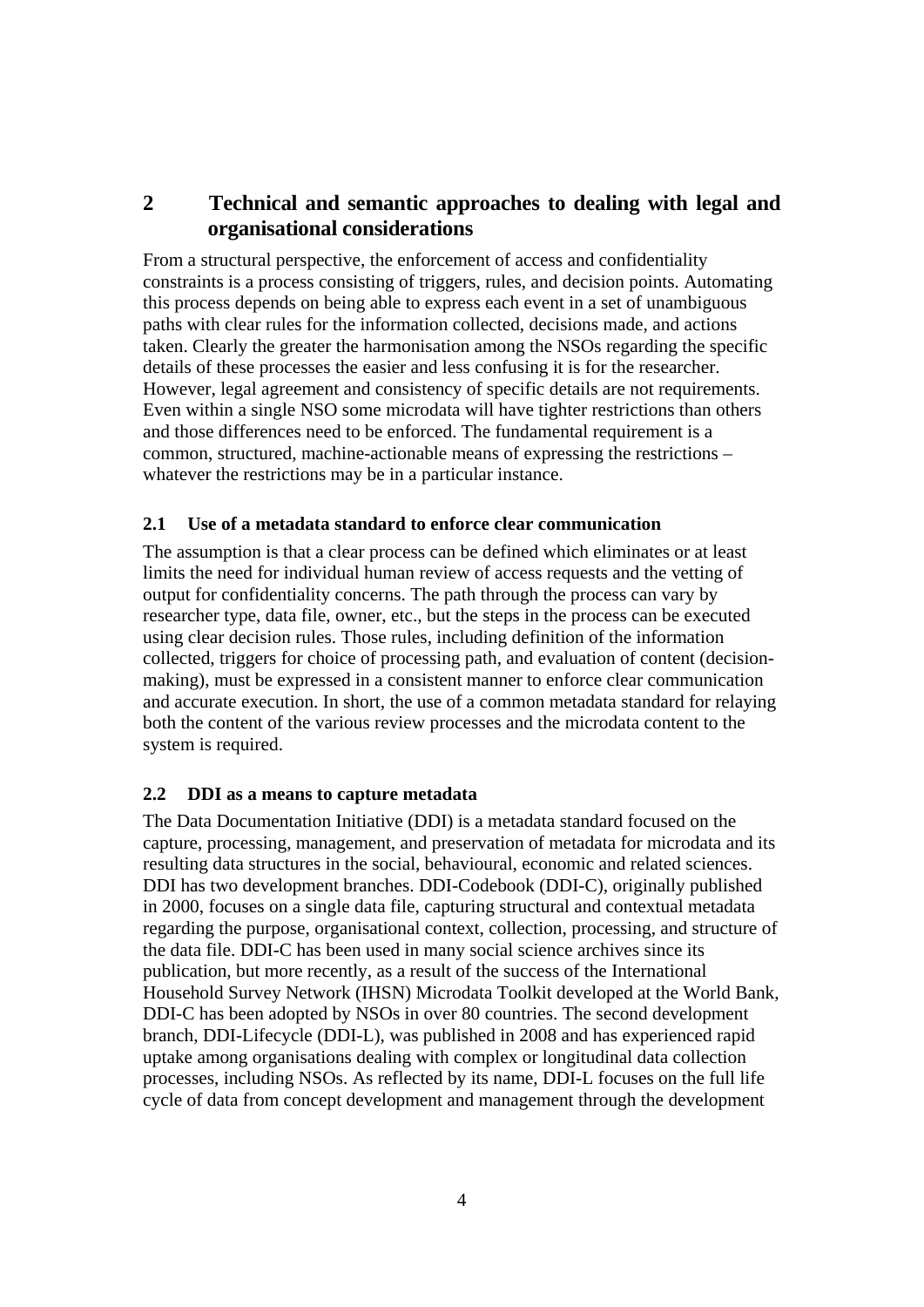# **2 Technical and semantic approaches to dealing with legal and organisational considerations**

From a structural perspective, the enforcement of access and confidentiality constraints is a process consisting of triggers, rules, and decision points. Automating this process depends on being able to express each event in a set of unambiguous paths with clear rules for the information collected, decisions made, and actions taken. Clearly the greater the harmonisation among the NSOs regarding the specific details of these processes the easier and less confusing it is for the researcher. However, legal agreement and consistency of specific details are not requirements. Even within a single NSO some microdata will have tighter restrictions than others and those differences need to be enforced. The fundamental requirement is a common, structured, machine-actionable means of expressing the restrictions – whatever the restrictions may be in a particular instance.

#### **2.1 Use of a metadata standard to enforce clear communication**

The assumption is that a clear process can be defined which eliminates or at least limits the need for individual human review of access requests and the vetting of output for confidentiality concerns. The path through the process can vary by researcher type, data file, owner, etc., but the steps in the process can be executed using clear decision rules. Those rules, including definition of the information collected, triggers for choice of processing path, and evaluation of content (decisionmaking), must be expressed in a consistent manner to enforce clear communication and accurate execution. In short, the use of a common metadata standard for relaying both the content of the various review processes and the microdata content to the system is required.

#### **2.2 DDI as a means to capture metadata**

The Data Documentation Initiative (DDI) is a metadata standard focused on the capture, processing, management, and preservation of metadata for microdata and its resulting data structures in the social, behavioural, economic and related sciences. DDI has two development branches. DDI-Codebook (DDI-C), originally published in 2000, focuses on a single data file, capturing structural and contextual metadata regarding the purpose, organisational context, collection, processing, and structure of the data file. DDI-C has been used in many social science archives since its publication, but more recently, as a result of the success of the International Household Survey Network (IHSN) Microdata Toolkit developed at the World Bank, DDI-C has been adopted by NSOs in over 80 countries. The second development branch, DDI-Lifecycle (DDI-L), was published in 2008 and has experienced rapid uptake among organisations dealing with complex or longitudinal data collection processes, including NSOs. As reflected by its name, DDI-L focuses on the full life cycle of data from concept development and management through the development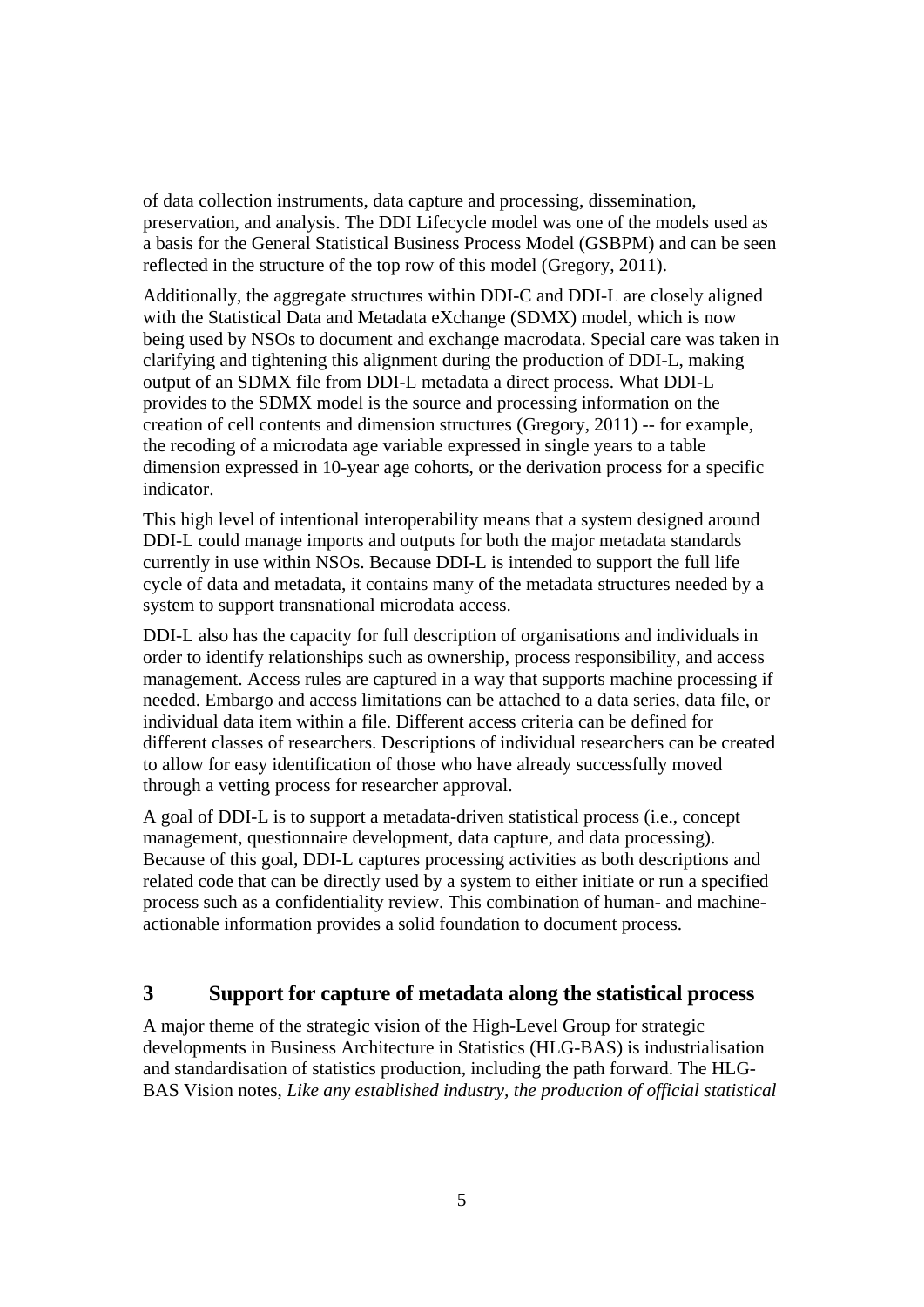of data collection instruments, data capture and processing, dissemination, preservation, and analysis. The DDI Lifecycle model was one of the models used as a basis for the General Statistical Business Process Model (GSBPM) and can be seen reflected in the structure of the top row of this model (Gregory, 2011).

Additionally, the aggregate structures within DDI-C and DDI-L are closely aligned with the Statistical Data and Metadata eXchange (SDMX) model, which is now being used by NSOs to document and exchange macrodata. Special care was taken in clarifying and tightening this alignment during the production of DDI-L, making output of an SDMX file from DDI-L metadata a direct process. What DDI-L provides to the SDMX model is the source and processing information on the creation of cell contents and dimension structures (Gregory, 2011) -- for example, the recoding of a microdata age variable expressed in single years to a table dimension expressed in 10-year age cohorts, or the derivation process for a specific indicator.

This high level of intentional interoperability means that a system designed around DDI-L could manage imports and outputs for both the major metadata standards currently in use within NSOs. Because DDI-L is intended to support the full life cycle of data and metadata, it contains many of the metadata structures needed by a system to support transnational microdata access.

DDI-L also has the capacity for full description of organisations and individuals in order to identify relationships such as ownership, process responsibility, and access management. Access rules are captured in a way that supports machine processing if needed. Embargo and access limitations can be attached to a data series, data file, or individual data item within a file. Different access criteria can be defined for different classes of researchers. Descriptions of individual researchers can be created to allow for easy identification of those who have already successfully moved through a vetting process for researcher approval.

A goal of DDI-L is to support a metadata-driven statistical process (i.e., concept management, questionnaire development, data capture, and data processing). Because of this goal, DDI-L captures processing activities as both descriptions and related code that can be directly used by a system to either initiate or run a specified process such as a confidentiality review. This combination of human- and machineactionable information provides a solid foundation to document process.

# **3 Support for capture of metadata along the statistical process**

A major theme of the strategic vision of the High-Level Group for strategic developments in Business Architecture in Statistics (HLG-BAS) is industrialisation and standardisation of statistics production, including the path forward. The HLG-BAS Vision notes, *Like any established industry, the production of official statistical*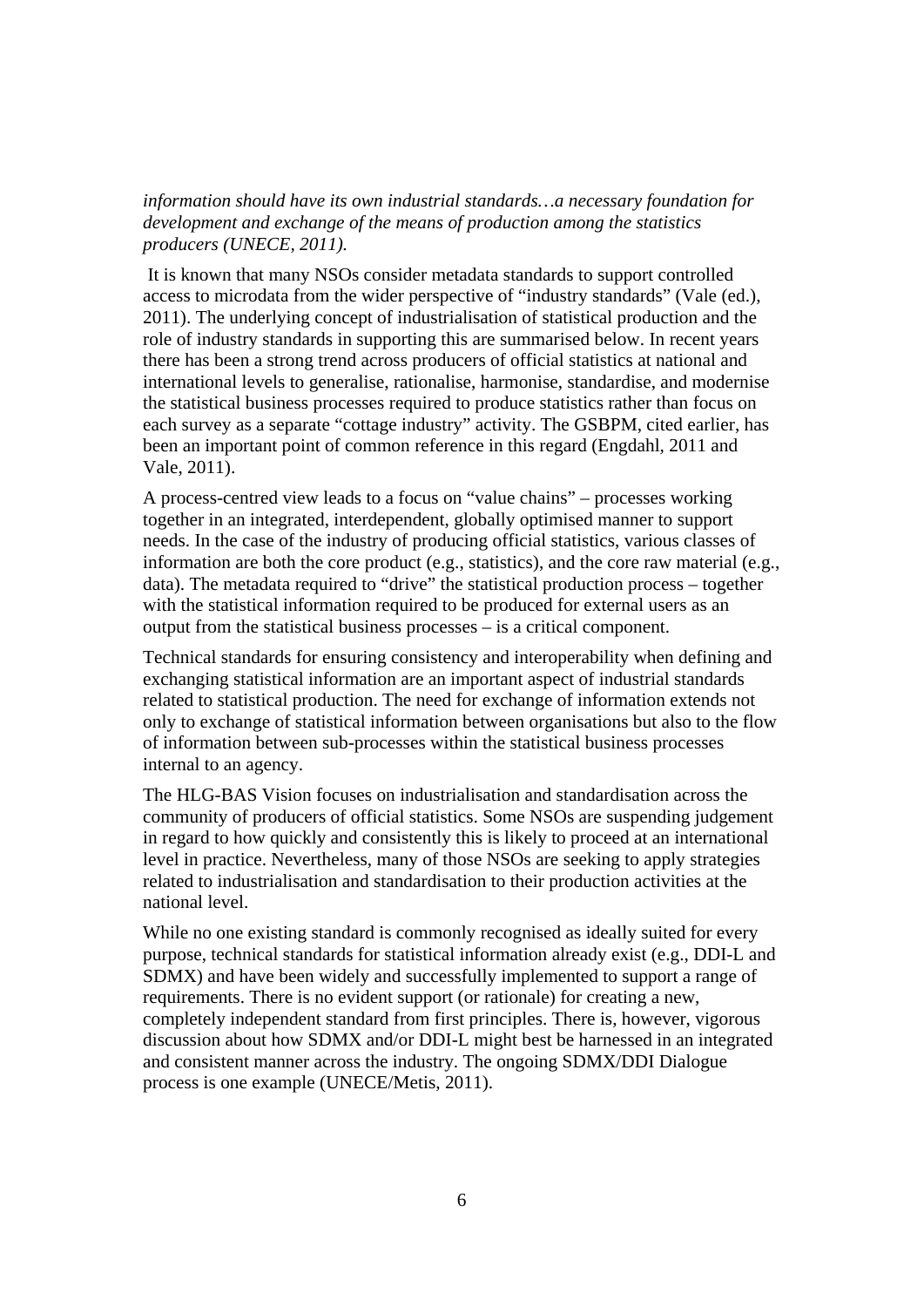*information should have its own industrial standards…a necessary foundation for development and exchange of the means of production among the statistics producers (UNECE, 2011).*

 It is known that many NSOs consider metadata standards to support controlled access to microdata from the wider perspective of "industry standards" (Vale (ed.), 2011). The underlying concept of industrialisation of statistical production and the role of industry standards in supporting this are summarised below. In recent years there has been a strong trend across producers of official statistics at national and international levels to generalise, rationalise, harmonise, standardise, and modernise the statistical business processes required to produce statistics rather than focus on each survey as a separate "cottage industry" activity. The GSBPM, cited earlier, has been an important point of common reference in this regard (Engdahl, 2011 and Vale, 2011).

A process-centred view leads to a focus on "value chains" – processes working together in an integrated, interdependent, globally optimised manner to support needs. In the case of the industry of producing official statistics, various classes of information are both the core product (e.g., statistics), and the core raw material (e.g., data). The metadata required to "drive" the statistical production process – together with the statistical information required to be produced for external users as an output from the statistical business processes – is a critical component.

Technical standards for ensuring consistency and interoperability when defining and exchanging statistical information are an important aspect of industrial standards related to statistical production. The need for exchange of information extends not only to exchange of statistical information between organisations but also to the flow of information between sub-processes within the statistical business processes internal to an agency.

The HLG-BAS Vision focuses on industrialisation and standardisation across the community of producers of official statistics. Some NSOs are suspending judgement in regard to how quickly and consistently this is likely to proceed at an international level in practice. Nevertheless, many of those NSOs are seeking to apply strategies related to industrialisation and standardisation to their production activities at the national level.

While no one existing standard is commonly recognised as ideally suited for every purpose, technical standards for statistical information already exist (e.g., DDI-L and SDMX) and have been widely and successfully implemented to support a range of requirements. There is no evident support (or rationale) for creating a new, completely independent standard from first principles. There is, however, vigorous discussion about how SDMX and/or DDI-L might best be harnessed in an integrated and consistent manner across the industry. The ongoing SDMX/DDI Dialogue process is one example (UNECE/Metis, 2011).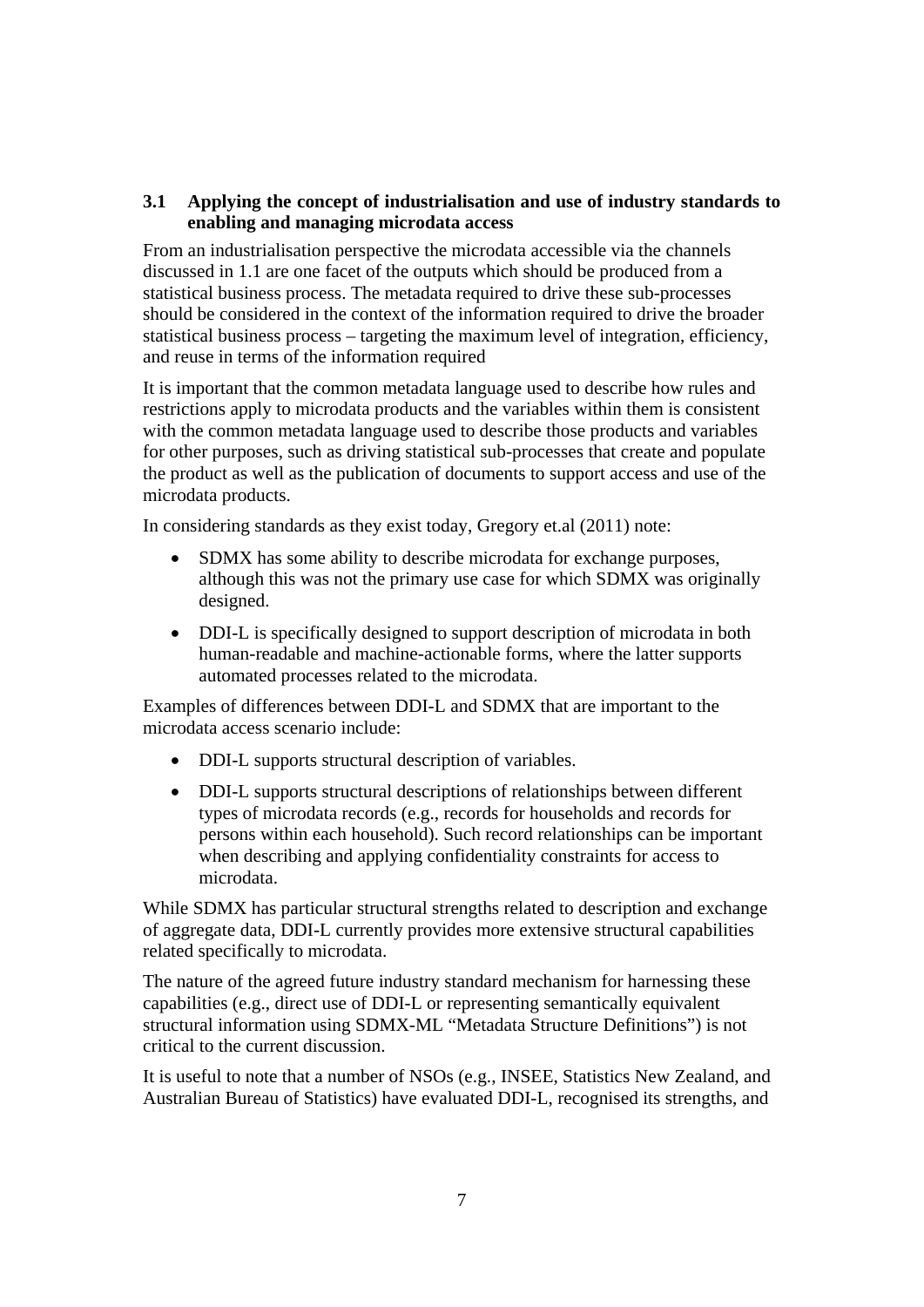### **3.1 Applying the concept of industrialisation and use of industry standards to enabling and managing microdata access**

From an industrialisation perspective the microdata accessible via the channels discussed in 1.1 are one facet of the outputs which should be produced from a statistical business process. The metadata required to drive these sub-processes should be considered in the context of the information required to drive the broader statistical business process – targeting the maximum level of integration, efficiency, and reuse in terms of the information required

It is important that the common metadata language used to describe how rules and restrictions apply to microdata products and the variables within them is consistent with the common metadata language used to describe those products and variables for other purposes, such as driving statistical sub-processes that create and populate the product as well as the publication of documents to support access and use of the microdata products.

In considering standards as they exist today, Gregory et.al (2011) note:

- SDMX has some ability to describe microdata for exchange purposes, although this was not the primary use case for which SDMX was originally designed.
- DDI-L is specifically designed to support description of microdata in both human-readable and machine-actionable forms, where the latter supports automated processes related to the microdata.

Examples of differences between DDI-L and SDMX that are important to the microdata access scenario include:

- DDI-L supports structural description of variables.
- DDI-L supports structural descriptions of relationships between different types of microdata records (e.g., records for households and records for persons within each household). Such record relationships can be important when describing and applying confidentiality constraints for access to microdata.

While SDMX has particular structural strengths related to description and exchange of aggregate data, DDI-L currently provides more extensive structural capabilities related specifically to microdata.

The nature of the agreed future industry standard mechanism for harnessing these capabilities (e.g., direct use of DDI-L or representing semantically equivalent structural information using SDMX-ML "Metadata Structure Definitions") is not critical to the current discussion.

It is useful to note that a number of NSOs (e.g., INSEE, Statistics New Zealand, and Australian Bureau of Statistics) have evaluated DDI-L, recognised its strengths, and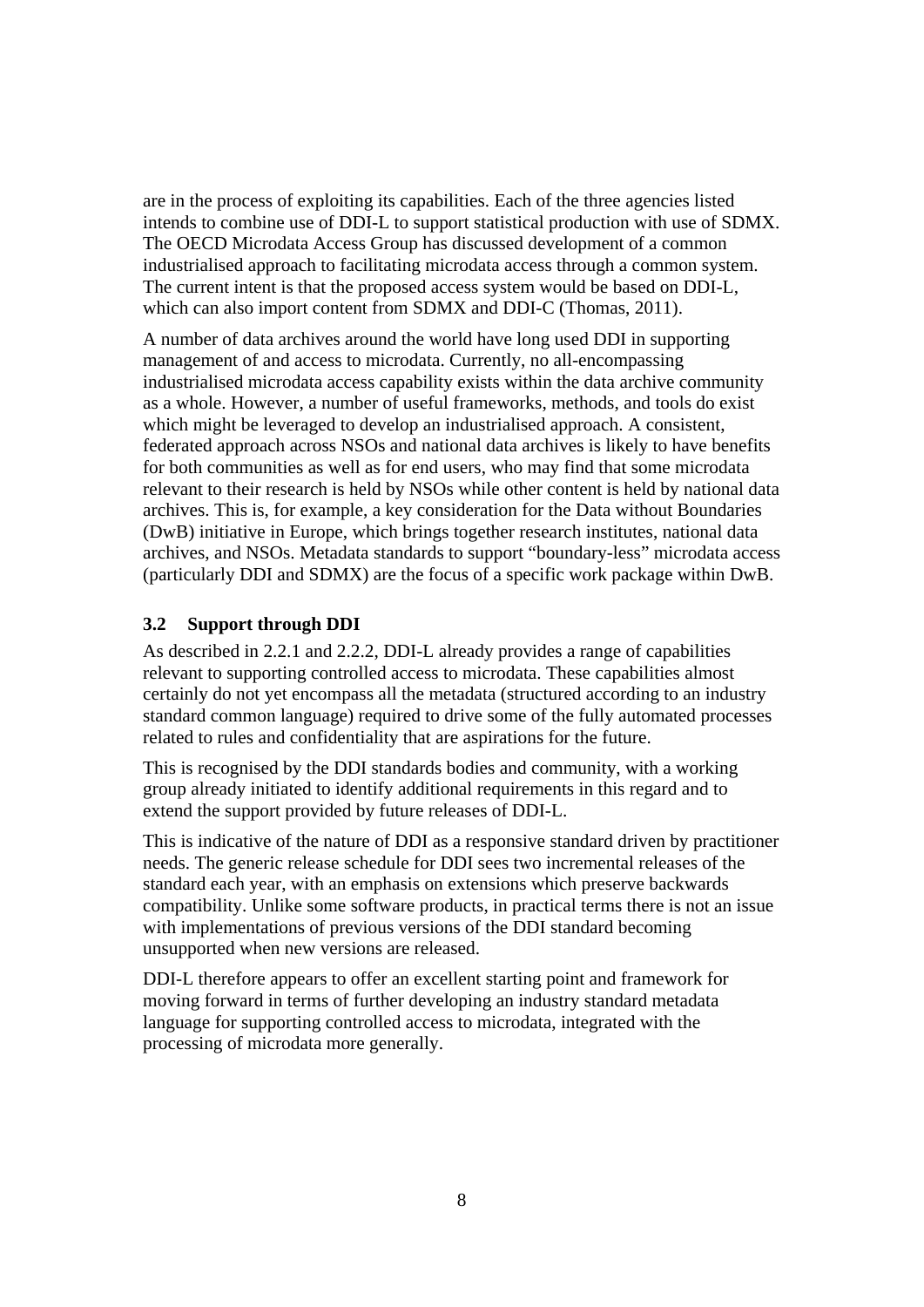are in the process of exploiting its capabilities. Each of the three agencies listed intends to combine use of DDI-L to support statistical production with use of SDMX. The OECD Microdata Access Group has discussed development of a common industrialised approach to facilitating microdata access through a common system. The current intent is that the proposed access system would be based on DDI-L, which can also import content from SDMX and DDI-C (Thomas, 2011).

A number of data archives around the world have long used DDI in supporting management of and access to microdata. Currently, no all-encompassing industrialised microdata access capability exists within the data archive community as a whole. However, a number of useful frameworks, methods, and tools do exist which might be leveraged to develop an industrialised approach. A consistent, federated approach across NSOs and national data archives is likely to have benefits for both communities as well as for end users, who may find that some microdata relevant to their research is held by NSOs while other content is held by national data archives. This is, for example, a key consideration for the Data without Boundaries (DwB) initiative in Europe, which brings together research institutes, national data archives, and NSOs. Metadata standards to support "boundary-less" microdata access (particularly DDI and SDMX) are the focus of a specific work package within DwB.

#### **3.2 Support through DDI**

As described in 2.2.1 and 2.2.2, DDI-L already provides a range of capabilities relevant to supporting controlled access to microdata. These capabilities almost certainly do not yet encompass all the metadata (structured according to an industry standard common language) required to drive some of the fully automated processes related to rules and confidentiality that are aspirations for the future.

This is recognised by the DDI standards bodies and community, with a working group already initiated to identify additional requirements in this regard and to extend the support provided by future releases of DDI-L.

This is indicative of the nature of DDI as a responsive standard driven by practitioner needs. The generic release schedule for DDI sees two incremental releases of the standard each year, with an emphasis on extensions which preserve backwards compatibility. Unlike some software products, in practical terms there is not an issue with implementations of previous versions of the DDI standard becoming unsupported when new versions are released.

DDI-L therefore appears to offer an excellent starting point and framework for moving forward in terms of further developing an industry standard metadata language for supporting controlled access to microdata, integrated with the processing of microdata more generally.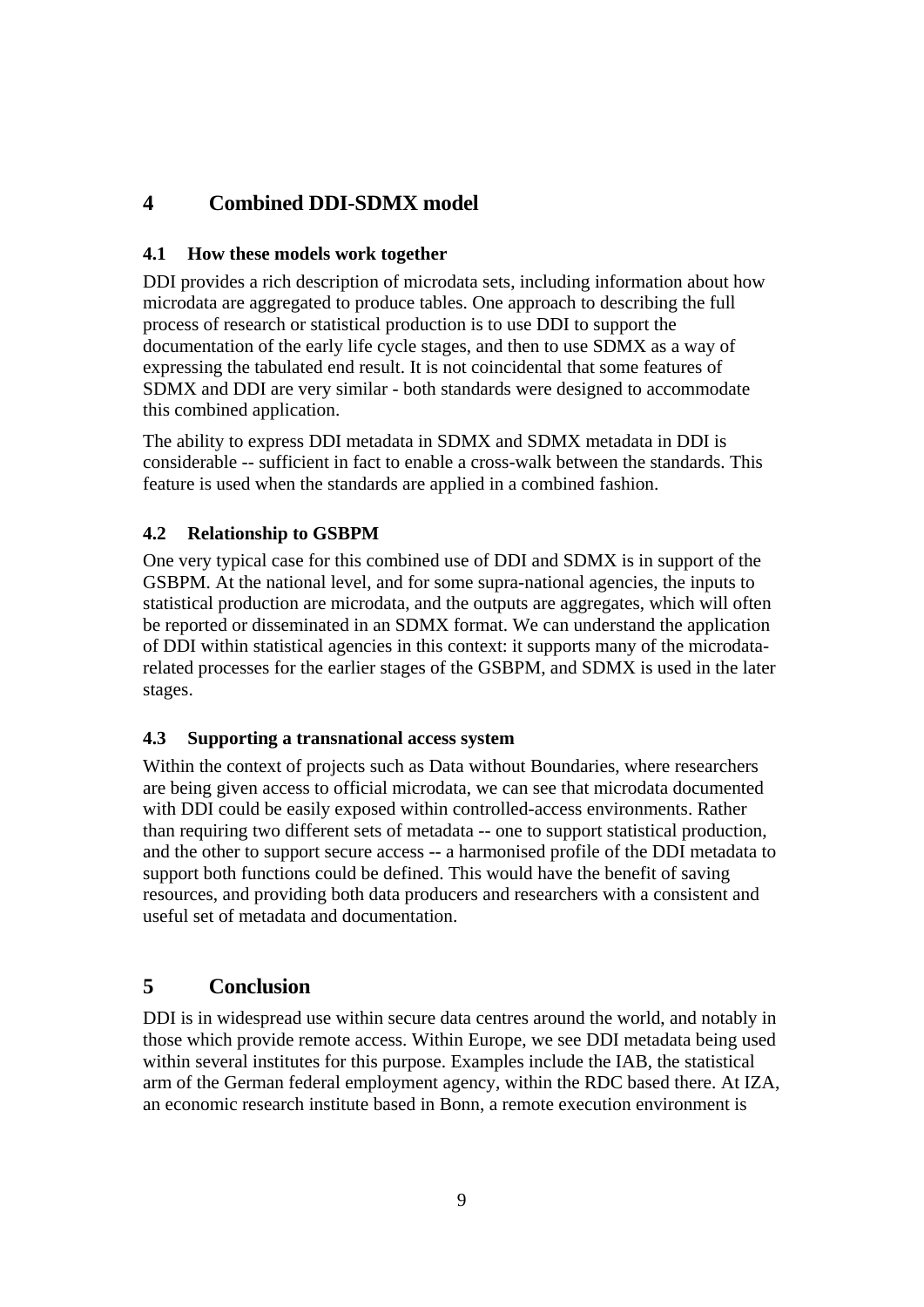# **4 Combined DDI-SDMX model**

## **4.1 How these models work together**

DDI provides a rich description of microdata sets, including information about how microdata are aggregated to produce tables. One approach to describing the full process of research or statistical production is to use DDI to support the documentation of the early life cycle stages, and then to use SDMX as a way of expressing the tabulated end result. It is not coincidental that some features of SDMX and DDI are very similar - both standards were designed to accommodate this combined application.

The ability to express DDI metadata in SDMX and SDMX metadata in DDI is considerable -- sufficient in fact to enable a cross-walk between the standards. This feature is used when the standards are applied in a combined fashion.

# **4.2 Relationship to GSBPM**

One very typical case for this combined use of DDI and SDMX is in support of the GSBPM. At the national level, and for some supra-national agencies, the inputs to statistical production are microdata, and the outputs are aggregates, which will often be reported or disseminated in an SDMX format. We can understand the application of DDI within statistical agencies in this context: it supports many of the microdatarelated processes for the earlier stages of the GSBPM, and SDMX is used in the later stages.

# **4.3 Supporting a transnational access system**

Within the context of projects such as Data without Boundaries, where researchers are being given access to official microdata, we can see that microdata documented with DDI could be easily exposed within controlled-access environments. Rather than requiring two different sets of metadata -- one to support statistical production, and the other to support secure access -- a harmonised profile of the DDI metadata to support both functions could be defined. This would have the benefit of saving resources, and providing both data producers and researchers with a consistent and useful set of metadata and documentation.

# **5 Conclusion**

DDI is in widespread use within secure data centres around the world, and notably in those which provide remote access. Within Europe, we see DDI metadata being used within several institutes for this purpose. Examples include the IAB, the statistical arm of the German federal employment agency, within the RDC based there. At IZA, an economic research institute based in Bonn, a remote execution environment is